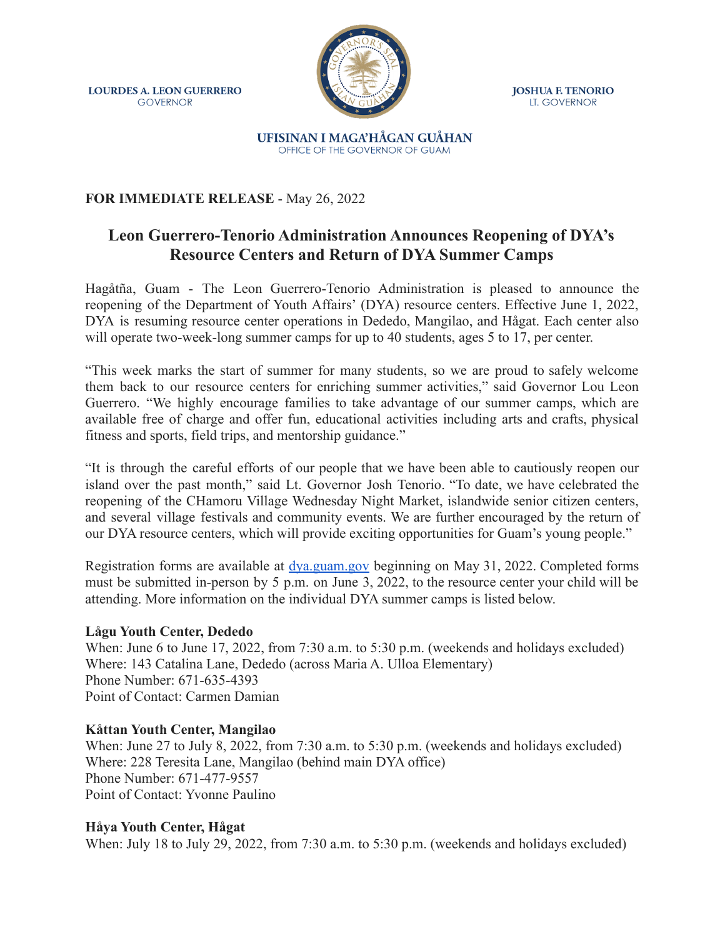**LOURDES A. LEON GUERRERO GOVERNOR** 



**JOSHUA F. TENORIO** LT. GOVERNOR

#### UFISINAN I MAGA'HÅGAN GUÅHAN OFFICE OF THE GOVERNOR OF GUAM

## **FOR IMMEDIATE RELEASE** - May 26, 2022

# **Leon Guerrero-Tenorio Administration Announces Reopening of DYA's Resource Centers and Return of DYA Summer Camps**

Hagåtña, Guam - The Leon Guerrero-Tenorio Administration is pleased to announce the reopening of the Department of Youth Affairs' (DYA) resource centers. Effective June 1, 2022, DYA is resuming resource center operations in Dededo, Mangilao, and Hågat. Each center also will operate two-week-long summer camps for up to 40 students, ages 5 to 17, per center.

"This week marks the start of summer for many students, so we are proud to safely welcome them back to our resource centers for enriching summer activities," said Governor Lou Leon Guerrero. "We highly encourage families to take advantage of our summer camps, which are available free of charge and offer fun, educational activities including arts and crafts, physical fitness and sports, field trips, and mentorship guidance."

"It is through the careful efforts of our people that we have been able to cautiously reopen our island over the past month," said Lt. Governor Josh Tenorio. "To date, we have celebrated the reopening of the CHamoru Village Wednesday Night Market, islandwide senior citizen centers, and several village festivals and community events. We are further encouraged by the return of our DYA resource centers, which will provide exciting opportunities for Guam's young people."

Registration forms are available at [dya.guam.gov](http://dya.guam.gov) beginning on May 31, 2022. Completed forms must be submitted in-person by 5 p.m. on June 3, 2022, to the resource center your child will be attending. More information on the individual DYA summer camps is listed below.

### **Lågu Youth Center, Dededo**

When: June 6 to June 17, 2022, from 7:30 a.m. to 5:30 p.m. (weekends and holidays excluded) Where: 143 Catalina Lane, Dededo (across Maria A. Ulloa Elementary) Phone Number: 671-635-4393 Point of Contact: Carmen Damian

### **Kåttan Youth Center, Mangilao**

When: June 27 to July 8, 2022, from 7:30 a.m. to 5:30 p.m. (weekends and holidays excluded) Where: 228 Teresita Lane, Mangilao (behind main DYA office) Phone Number: 671-477-9557 Point of Contact: Yvonne Paulino

### **Håya Youth Center, Hågat**

When: July 18 to July 29, 2022, from 7:30 a.m. to 5:30 p.m. (weekends and holidays excluded)